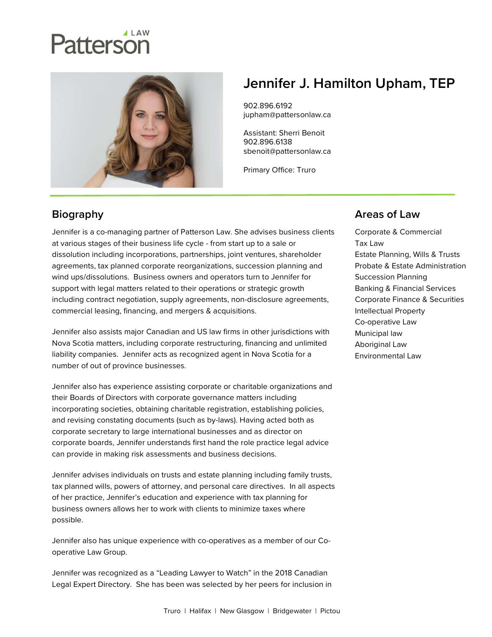# Patterson



# Jennifer J. Hamilton Upham, TEP

902.896.6192 jupham@pattersonlaw.ca

Assistant: Sherri Benoit 902.896.6138 sbenoit@pattersonlaw.ca

Primary Office: Truro

### **Biography**

Jennifer is a co-managing partner of Patterson Law. She advises business clients at various stages of their business life cycle - from start up to a sale or dissolution including incorporations, partnerships, joint ventures, shareholder agreements, tax planned corporate reorganizations, succession planning and wind ups/dissolutions. Business owners and operators turn to Jennifer for support with legal matters related to their operations or strategic growth including contract negotiation, supply agreements, non-disclosure agreements, commercial leasing, financing, and mergers & acquisitions.

Jennifer also assists major Canadian and US law firms in other jurisdictions with Nova Scotia matters, including corporate restructuring, financing and unlimited liability companies. Jennifer acts as recognized agent in Nova Scotia for a number of out of province businesses.

Jennifer also has experience assisting corporate or charitable organizations and their Boards of Directors with corporate governance matters including incorporating societies, obtaining charitable registration, establishing policies, and revising constating documents (such as by-laws). Having acted both as corporate secretary to large international businesses and as director on corporate boards, Jennifer understands first hand the role practice legal advice can provide in making risk assessments and business decisions.

Jennifer advises individuals on trusts and estate planning including family trusts, tax planned wills, powers of attorney, and personal care directives. In all aspects of her practice, Jennifer's education and experience with tax planning for business owners allows her to work with clients to minimize taxes where possible.

Jennifer also has unique experience with co-operatives as a member of our Cooperative Law Group.

Jennifer was recognized as a "Leading Lawyer to Watch" in the 2018 Canadian Legal Expert Directory. She has been was selected by her peers for inclusion in

#### Areas of Law

Corporate & Commercial Tax Law Estate Planning, Wills & Trusts Probate & Estate Administration Succession Planning Banking & Financial Services Corporate Finance & Securities Intellectual Property Co-operative Law Municipal law Aboriginal Law Environmental Law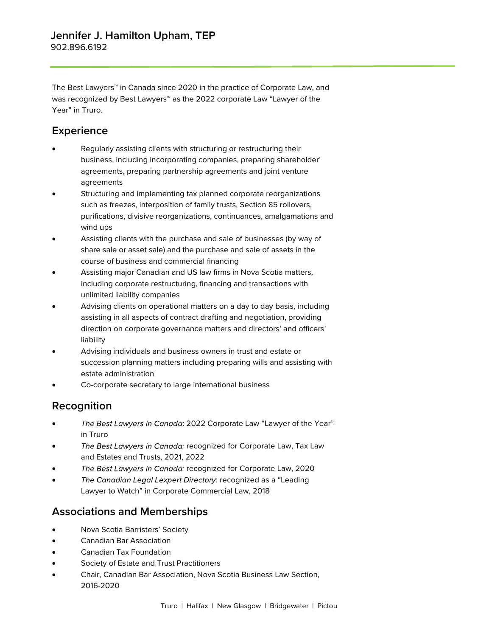The Best Lawyers™ in Canada since 2020 in the practice of Corporate Law, and was recognized by Best Lawyers<sup>™</sup> as the 2022 corporate Law "Lawyer of the Year" in Truro.

#### **Experience**

- Regularly assisting clients with structuring or restructuring their business, including incorporating companies, preparing shareholder' agreements, preparing partnership agreements and joint venture agreements
- Structuring and implementing tax planned corporate reorganizations such as freezes, interposition of family trusts, Section 85 rollovers, purifications, divisive reorganizations, continuances, amalgamations and wind ups
- Assisting clients with the purchase and sale of businesses (by way of share sale or asset sale) and the purchase and sale of assets in the course of business and commercial financing
- Assisting major Canadian and US law firms in Nova Scotia matters, including corporate restructuring, financing and transactions with unlimited liability companies
- Advising clients on operational matters on a day to day basis, including assisting in all aspects of contract drafting and negotiation, providing direction on corporate governance matters and directors' and officers' liability
- Advising individuals and business owners in trust and estate or succession planning matters including preparing wills and assisting with estate administration
- Co-corporate secretary to large international business

#### Recognition

- The Best Lawyers in Canada: 2022 Corporate Law "Lawyer of the Year" in Truro
- The Best Lawyers in Canada: recognized for Corporate Law, Tax Law and Estates and Trusts, 2021, 2022
- The Best Lawyers in Canada: recognized for Corporate Law, 2020
- The Canadian Legal Lexpert Directory: recognized as a "Leading" Lawyer to Watch" in Corporate Commercial Law, 2018

#### Associations and Memberships

- Nova Scotia Barristers' Society
- Canadian Bar Association
- Canadian Tax Foundation
- Society of Estate and Trust Practitioners
- Chair, Canadian Bar Association, Nova Scotia Business Law Section, 2016-2020